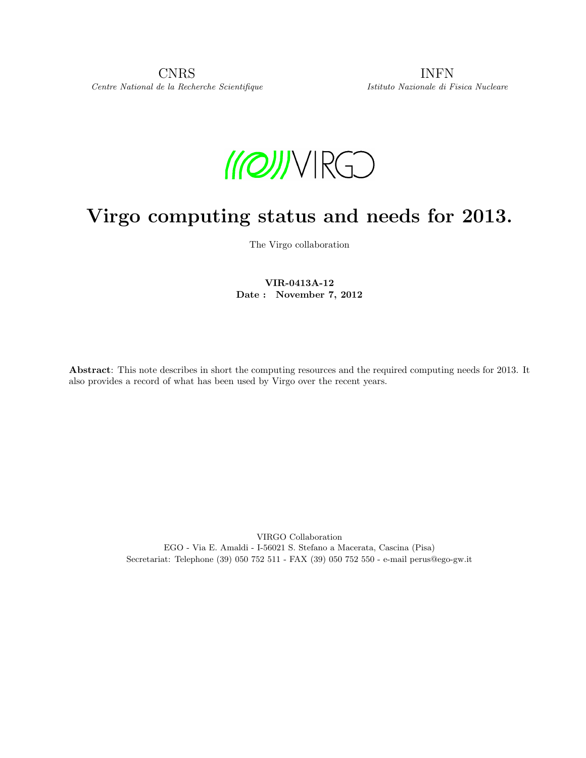CNRS INFN Centre National de la Recherche Scientifique Istituto Nazionale di Fisica Nucleare

 $MOMNRG$ 

# Virgo computing status and needs for 2013.

The Virgo collaboration

VIR-0413A-12 Date : November 7, 2012

Abstract: This note describes in short the computing resources and the required computing needs for 2013. It also provides a record of what has been used by Virgo over the recent years.

> VIRGO Collaboration EGO - Via E. Amaldi - I-56021 S. Stefano a Macerata, Cascina (Pisa) Secretariat: Telephone (39) 050 752 511 - FAX (39) 050 752 550 - e-mail perus@ego-gw.it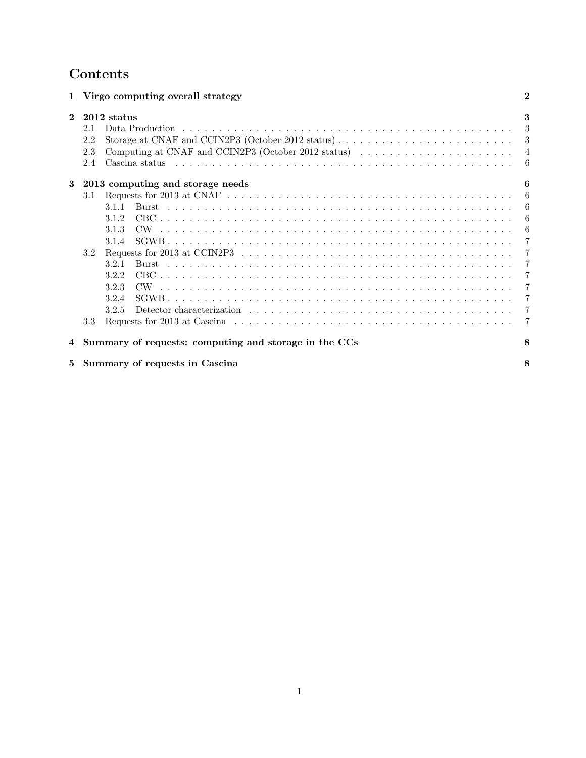## Contents

| 1            | Virgo computing overall strategy                                                                                                                                                                                                        | 2      |  |  |  |  |  |
|--------------|-----------------------------------------------------------------------------------------------------------------------------------------------------------------------------------------------------------------------------------------|--------|--|--|--|--|--|
| $\mathbf{2}$ | 2012 status<br>Data Production<br>2.1                                                                                                                                                                                                   |        |  |  |  |  |  |
|              | 2.2                                                                                                                                                                                                                                     | 3<br>3 |  |  |  |  |  |
|              | Computing at CNAF and CCIN2P3 (October 2012 status) $\dots \dots \dots \dots \dots \dots \dots \dots$<br>2.3                                                                                                                            |        |  |  |  |  |  |
|              | 2.4                                                                                                                                                                                                                                     | 6      |  |  |  |  |  |
| 3            | 2013 computing and storage needs                                                                                                                                                                                                        | 6      |  |  |  |  |  |
|              | Requests for 2013 at CNAF $\dots \dots \dots \dots \dots \dots \dots \dots \dots \dots \dots \dots \dots \dots \dots \dots \dots \dots$<br>3.1                                                                                          | 6      |  |  |  |  |  |
|              | 3.1.1                                                                                                                                                                                                                                   | 6      |  |  |  |  |  |
|              | 3.1.2                                                                                                                                                                                                                                   | 6      |  |  |  |  |  |
|              | 3.1.3                                                                                                                                                                                                                                   | 6      |  |  |  |  |  |
|              | 3.1.4                                                                                                                                                                                                                                   |        |  |  |  |  |  |
|              | 3.2                                                                                                                                                                                                                                     |        |  |  |  |  |  |
|              | 3.2.1                                                                                                                                                                                                                                   |        |  |  |  |  |  |
|              | 3.2.2                                                                                                                                                                                                                                   |        |  |  |  |  |  |
|              | 3.2.3                                                                                                                                                                                                                                   |        |  |  |  |  |  |
|              | 3.2.4                                                                                                                                                                                                                                   |        |  |  |  |  |  |
|              | 3.2.5<br>Detector characterization enterity is a contracted by the contracted problem in the contracted by the contracted by the contracted by the contracted by the contracted by the contracted by the contracted by the contracted b |        |  |  |  |  |  |
|              | 3.3                                                                                                                                                                                                                                     |        |  |  |  |  |  |
| 4            | Summary of requests: computing and storage in the CCs                                                                                                                                                                                   | 8      |  |  |  |  |  |
| 5            | Summary of requests in Cascina                                                                                                                                                                                                          | 8      |  |  |  |  |  |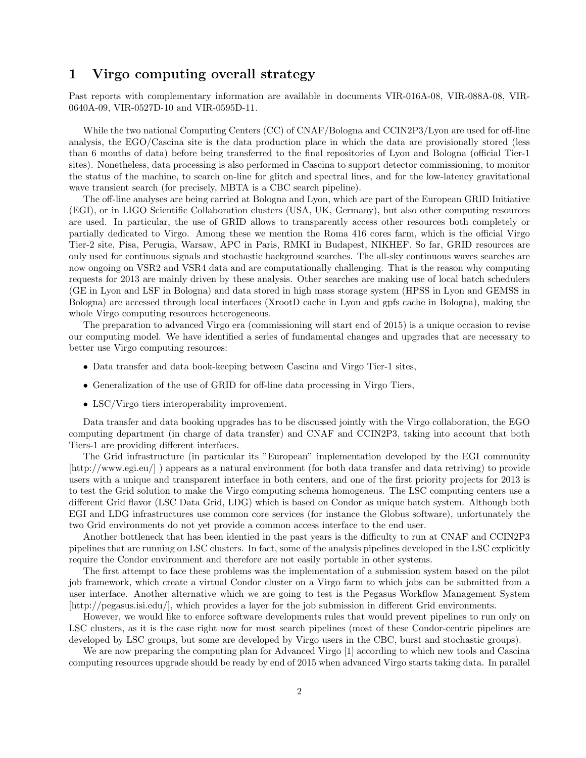## 1 Virgo computing overall strategy

Past reports with complementary information are available in documents VIR-016A-08, VIR-088A-08, VIR-0640A-09, VIR-0527D-10 and VIR-0595D-11.

While the two national Computing Centers (CC) of CNAF/Bologna and CCIN2P3/Lyon are used for off-line analysis, the EGO/Cascina site is the data production place in which the data are provisionally stored (less than 6 months of data) before being transferred to the final repositories of Lyon and Bologna (official Tier-1 sites). Nonetheless, data processing is also performed in Cascina to support detector commissioning, to monitor the status of the machine, to search on-line for glitch and spectral lines, and for the low-latency gravitational wave transient search (for precisely, MBTA is a CBC search pipeline).

The off-line analyses are being carried at Bologna and Lyon, which are part of the European GRID Initiative (EGI), or in LIGO Scientific Collaboration clusters (USA, UK, Germany), but also other computing resources are used. In particular, the use of GRID allows to transparently access other resources both completely or partially dedicated to Virgo. Among these we mention the Roma 416 cores farm, which is the official Virgo Tier-2 site, Pisa, Perugia, Warsaw, APC in Paris, RMKI in Budapest, NIKHEF. So far, GRID resources are only used for continuous signals and stochastic background searches. The all-sky continuous waves searches are now ongoing on VSR2 and VSR4 data and are computationally challenging. That is the reason why computing requests for 2013 are mainly driven by these analysis. Other searches are making use of local batch schedulers (GE in Lyon and LSF in Bologna) and data stored in high mass storage system (HPSS in Lyon and GEMSS in Bologna) are accessed through local interfaces (XrootD cache in Lyon and gpfs cache in Bologna), making the whole Virgo computing resources heterogeneous.

The preparation to advanced Virgo era (commissioning will start end of 2015) is a unique occasion to revise our computing model. We have identified a series of fundamental changes and upgrades that are necessary to better use Virgo computing resources:

- Data transfer and data book-keeping between Cascina and Virgo Tier-1 sites,
- Generalization of the use of GRID for off-line data processing in Virgo Tiers,
- LSC/Virgo tiers interoperability improvement.

Data transfer and data booking upgrades has to be discussed jointly with the Virgo collaboration, the EGO computing department (in charge of data transfer) and CNAF and CCIN2P3, taking into account that both Tiers-1 are providing different interfaces.

The Grid infrastructure (in particular its "European" implementation developed by the EGI community [http://www.egi.eu/] ) appears as a natural environment (for both data transfer and data retriving) to provide users with a unique and transparent interface in both centers, and one of the first priority projects for 2013 is to test the Grid solution to make the Virgo computing schema homogeneus. The LSC computing centers use a different Grid flavor (LSC Data Grid, LDG) which is based on Condor as unique batch system. Although both EGI and LDG infrastructures use common core services (for instance the Globus software), unfortunately the two Grid environments do not yet provide a common access interface to the end user.

Another bottleneck that has been identied in the past years is the difficulty to run at CNAF and CCIN2P3 pipelines that are running on LSC clusters. In fact, some of the analysis pipelines developed in the LSC explicitly require the Condor environment and therefore are not easily portable in other systems.

The first attempt to face these problems was the implementation of a submission system based on the pilot job framework, which create a virtual Condor cluster on a Virgo farm to which jobs can be submitted from a user interface. Another alternative which we are going to test is the Pegasus Workflow Management System [http://pegasus.isi.edu/], which provides a layer for the job submission in different Grid environments.

However, we would like to enforce software developments rules that would prevent pipelines to run only on LSC clusters, as it is the case right now for most search pipelines (most of these Condor-centric pipelines are developed by LSC groups, but some are developed by Virgo users in the CBC, burst and stochastic groups).

We are now preparing the computing plan for Advanced Virgo [1] according to which new tools and Cascina computing resources upgrade should be ready by end of 2015 when advanced Virgo starts taking data. In parallel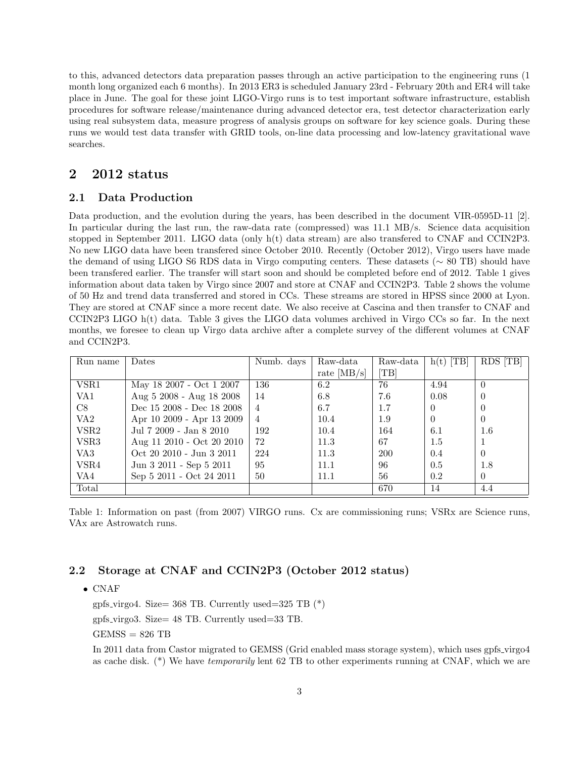to this, advanced detectors data preparation passes through an active participation to the engineering runs (1 month long organized each 6 months). In 2013 ER3 is scheduled January 23rd - February 20th and ER4 will take place in June. The goal for these joint LIGO-Virgo runs is to test important software infrastructure, establish procedures for software release/maintenance during advanced detector era, test detector characterization early using real subsystem data, measure progress of analysis groups on software for key science goals. During these runs we would test data transfer with GRID tools, on-line data processing and low-latency gravitational wave searches.

## 2 2012 status

#### 2.1 Data Production

Data production, and the evolution during the years, has been described in the document VIR-0595D-11 [2]. In particular during the last run, the raw-data rate (compressed) was 11.1 MB/s. Science data acquisition stopped in September 2011. LIGO data (only h(t) data stream) are also transfered to CNAF and CCIN2P3. No new LIGO data have been transfered since October 2010. Recently (October 2012), Virgo users have made the demand of using LIGO S6 RDS data in Virgo computing centers. These datasets (∼ 80 TB) should have been transfered earlier. The transfer will start soon and should be completed before end of 2012. Table 1 gives information about data taken by Virgo since 2007 and store at CNAF and CCIN2P3. Table 2 shows the volume of 50 Hz and trend data transferred and stored in CCs. These streams are stored in HPSS since 2000 at Lyon. They are stored at CNAF since a more recent date. We also receive at Cascina and then transfer to CNAF and CCIN2P3 LIGO h(t) data. Table 3 gives the LIGO data volumes archived in Virgo CCs so far. In the next months, we foresee to clean up Virgo data archive after a complete survey of the different volumes at CNAF and CCIN2P3.

| Run name         | Dates                     | Numb. days     | Raw-data      | Raw-data | $h(t)$ [TB] | RDS [TB] |
|------------------|---------------------------|----------------|---------------|----------|-------------|----------|
|                  |                           |                | rate $[MB/s]$ | TB       |             |          |
| VSR1             | May 18 2007 - Oct 1 2007  | 136            | 6.2           | 76       | 4.94        | $\theta$ |
| VA1              | Aug 5 2008 - Aug 18 2008  | 14             | 6.8           | 7.6      | 0.08        | $\theta$ |
| C8               | Dec 15 2008 - Dec 18 2008 | $\overline{4}$ | 6.7           | 1.7      | $\theta$    | $\theta$ |
| VA <sub>2</sub>  | Apr 10 2009 - Apr 13 2009 | $\overline{4}$ | 10.4          | 1.9      | $\Omega$    | $\theta$ |
| VSR <sub>2</sub> | Jul 7 2009 - Jan 8 2010   | 192            | 10.4          | 164      | 6.1         | $1.6\,$  |
| VSR3             | Aug 11 2010 - Oct 20 2010 | 72             | 11.3          | 67       | 1.5         |          |
| VA3              | Oct 20 2010 - Jun 3 2011  | 224            | 11.3          | 200      | 0.4         | $\Omega$ |
| VSR4             | Jun 3 2011 - Sep 5 2011   | 95             | 11.1          | 96       | 0.5         | 1.8      |
| VA4              | Sep 5 2011 - Oct 24 2011  | 50             | 11.1          | 56       | 0.2         | $\Omega$ |
| Total            |                           |                |               | 670      | 14          | 4.4      |

Table 1: Information on past (from 2007) VIRGO runs. Cx are commissioning runs; VSRx are Science runs, VAx are Astrowatch runs.

### 2.2 Storage at CNAF and CCIN2P3 (October 2012 status)

• CNAF

gpfs\_virgo4. Size=  $368$  TB. Currently used= $325$  TB  $(*)$ 

gpfs virgo3. Size= 48 TB. Currently used=33 TB.

 $GEMSS = 826 TB$ 

In 2011 data from Castor migrated to GEMSS (Grid enabled mass storage system), which uses gpfs virgo4 as cache disk. (\*) We have temporarily lent 62 TB to other experiments running at CNAF, which we are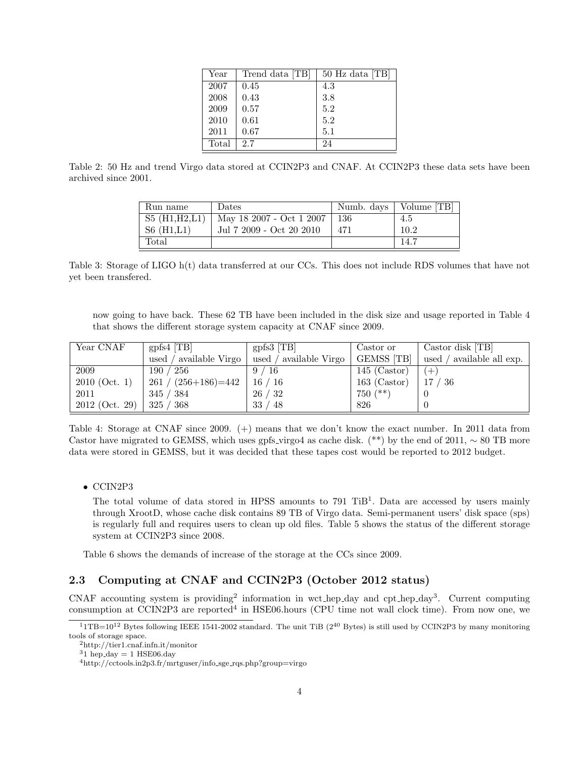| Year  | Trend data [TB] | 50 Hz data [TB] |
|-------|-----------------|-----------------|
| 2007  | 0.45            | 4.3             |
| 2008  | 0.43            | 3.8             |
| 2009  | 0.57            | 5.2             |
| 2010  | 0.61            | 5.2             |
| 2011  | 0.67            | 5.1             |
| Total | 2.7             | 24              |

Table 2: 50 Hz and trend Virgo data stored at CCIN2P3 and CNAF. At CCIN2P3 these data sets have been archived since 2001.

| Run name     | Dates                    | Numb. days | Volume [TB] |
|--------------|--------------------------|------------|-------------|
| S5(H1,H2,L1) | May 18 2007 - Oct 1 2007 | 136        | 4.5         |
| S6(H1,L1)    | Jul 7 2009 - Oct 20 2010 |            | 10.2        |
| Total        |                          |            | 14.7        |

Table 3: Storage of LIGO h(t) data transferred at our CCs. This does not include RDS volumes that have not yet been transfered.

now going to have back. These 62 TB have been included in the disk size and usage reported in Table 4 that shows the different storage system capacity at CNAF since 2009.

| Year CNAF        | $grfs4$ [TB]              | $gpfs3$ [TB]           | Castor or         | Castor disk [TB]          |
|------------------|---------------------------|------------------------|-------------------|---------------------------|
|                  | used / available Virgo    | used / available Virgo | <b>GEMSS [TB]</b> | used / available all exp. |
| 2009             | ر 190<br>256              | 9/16                   | $145$ (Castor)    | $(+)$                     |
| $2010$ (Oct. 1)  | $261 / (256 + 186) = 442$ | 16/16                  | $163$ (Castor)    | ′ 36<br>17/               |
| 2011             | 345 / 384                 | 26 / 32                | $750$ $(**)$      |                           |
| $2012$ (Oct. 29) | 325<br>$^{\prime}~368$    | 33/<br>48 /            | 826               |                           |

Table 4: Storage at CNAF since 2009. (+) means that we don't know the exact number. In 2011 data from Castor have migrated to GEMSS, which uses gpfs\_virgo4 as cache disk.  $(**)$  by the end of 2011,  $\sim 80$  TB more data were stored in GEMSS, but it was decided that these tapes cost would be reported to 2012 budget.

#### • CCIN2P3

The total volume of data stored in HPSS amounts to 791 TiB<sup>1</sup>. Data are accessed by users mainly through XrootD, whose cache disk contains 89 TB of Virgo data. Semi-permanent users' disk space (sps) is regularly full and requires users to clean up old files. Table 5 shows the status of the different storage system at CCIN2P3 since 2008.

Table 6 shows the demands of increase of the storage at the CCs since 2009.

## 2.3 Computing at CNAF and CCIN2P3 (October 2012 status)

CNAF accounting system is providing<sup>2</sup> information in wct hep day and cpt hep day<sup>3</sup>. Current computing consumption at CCIN2P3 are reported<sup>4</sup> in HSE06.hours (CPU time not wall clock time). From now one, we

 $11TB=10^{12}$  Bytes following IEEE 1541-2002 standard. The unit TiB ( $2^{40}$  Bytes) is still used by CCIN2P3 by many monitoring tools of storage space.

<sup>2</sup>http://tier1.cnaf.infn.it/monitor

 $31$  hep\_day = 1 HSE06.day

<sup>4</sup>http://cctools.in2p3.fr/mrtguser/info sge rqs.php?group=virgo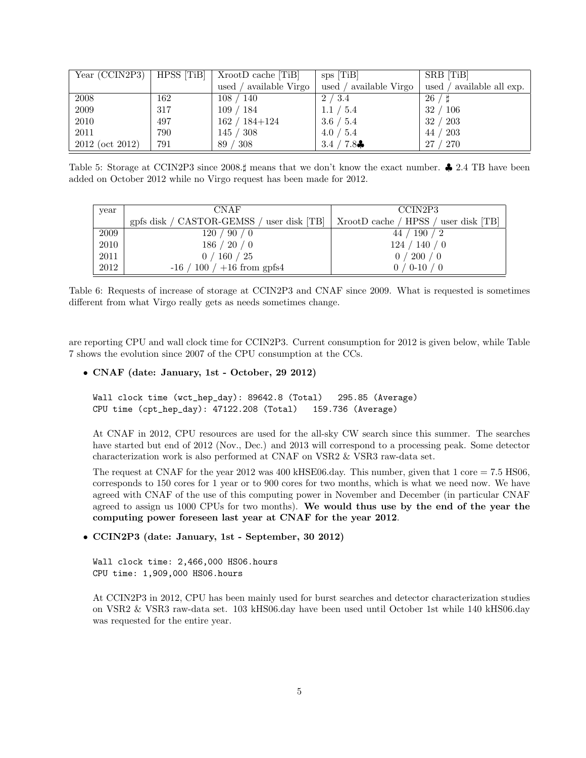| Year $(CCIN2P3)$ | HPSS [TiB] | $XrootD$ cache $[TiB]$              | sps [TiB]                         | SRB [TiB]                   |
|------------------|------------|-------------------------------------|-----------------------------------|-----------------------------|
|                  |            | available Virgo<br>used             | used /<br>available Virgo         | used $/$ available all exp. |
| 2008             | 162        | 108/<br>$^{\prime}~140$             | 2 / 3.4                           | 26/                         |
| 2009             | 317        | 109/184                             | 1.1 / 5.4                         | <sup>106</sup><br>32        |
| 2010             | 497        | $162 / 184 + 124$                   | 3.6 / 5.4                         | $^\prime\,203$<br>32        |
| 2011             | 790        | $^{\prime}~308$<br>145 <sub>7</sub> | 4.0 / 5.4                         | $^\prime\,203$<br>44        |
| 2012 (oct 2012)  | 791        | $^{\prime}~308$<br>89               | 7.8 <sub>•</sub><br>$3.4\sqrt{ }$ | $^\prime$ 270<br>27/        |

Table 5: Storage at CCIN2P3 since 2008. $\sharp$  means that we don't know the exact number.  $\clubsuit$  2.4 TB have been added on October 2012 while no Virgo request has been made for 2012.

| year | <b>CNAF</b>                               | CCIN2P3                              |
|------|-------------------------------------------|--------------------------------------|
|      | gpfs disk / CASTOR-GEMSS / user disk [TB] | XrootD cache / HPSS / user disk [TB] |
| 2009 | $\prime$ 90 $\prime$ 0<br>120 /           | 190/2<br>44,                         |
| 2010 | 186 / 20 / 0                              | 124 / 140 / 0                        |
| 2011 | $'$ 160 / 25<br>0 <sub>1</sub>            | 200/0                                |
| 2012 | $100/ + 16$ from gpfs4<br>$-16/$          | $0-10/0$                             |

Table 6: Requests of increase of storage at CCIN2P3 and CNAF since 2009. What is requested is sometimes different from what Virgo really gets as needs sometimes change.

are reporting CPU and wall clock time for CCIN2P3. Current consumption for 2012 is given below, while Table 7 shows the evolution since 2007 of the CPU consumption at the CCs.

#### • CNAF (date: January, 1st - October, 29 2012)

Wall clock time (wct\_hep\_day): 89642.8 (Total) 295.85 (Average) CPU time (cpt\_hep\_day): 47122.208 (Total) 159.736 (Average)

At CNAF in 2012, CPU resources are used for the all-sky CW search since this summer. The searches have started but end of 2012 (Nov., Dec.) and 2013 will correspond to a processing peak. Some detector characterization work is also performed at CNAF on VSR2 & VSR3 raw-data set.

The request at CNAF for the year 2012 was 400 kHSE06.day. This number, given that 1 core  $= 7.5$  HS06, corresponds to 150 cores for 1 year or to 900 cores for two months, which is what we need now. We have agreed with CNAF of the use of this computing power in November and December (in particular CNAF agreed to assign us 1000 CPUs for two months). We would thus use by the end of the year the computing power foreseen last year at CNAF for the year 2012.

#### • CCIN2P3 (date: January, 1st - September, 30 2012)

Wall clock time: 2,466,000 HS06.hours CPU time: 1,909,000 HS06.hours

At CCIN2P3 in 2012, CPU has been mainly used for burst searches and detector characterization studies on VSR2 & VSR3 raw-data set. 103 kHS06.day have been used until October 1st while 140 kHS06.day was requested for the entire year.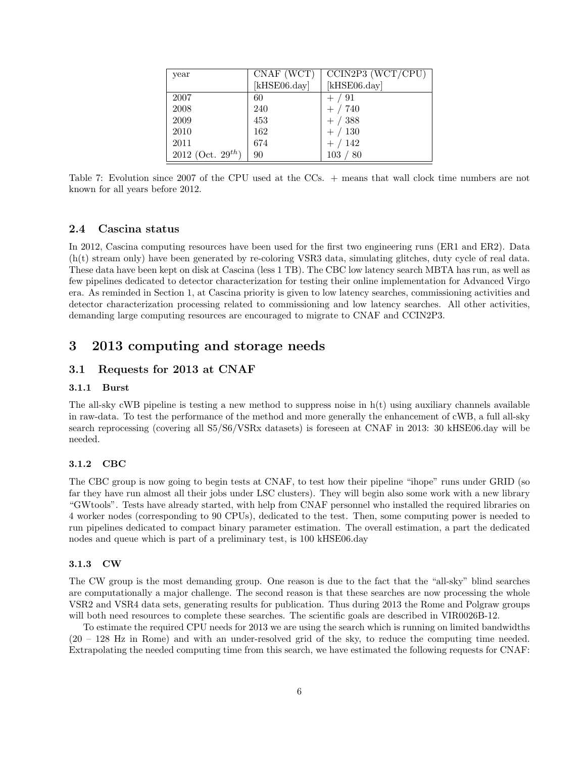| year                          | CNAF (WCT)   | CCIN2P3 (WCT/CPU) |
|-------------------------------|--------------|-------------------|
|                               | [kHSE06.day] | [ $k$ HSE06.day]  |
| 2007                          | 60           | $+ / 91$          |
| 2008                          | 240          | /740              |
| 2009                          | 453          | /388              |
| 2010                          | 162          | $+ / 130$         |
| 2011                          | 674          | /142              |
| 2012 (Oct. 29 <sup>th</sup> ) | 90           | 103<br>/ 80       |

Table 7: Evolution since 2007 of the CPU used at the CCs. + means that wall clock time numbers are not known for all years before 2012.

#### 2.4 Cascina status

In 2012, Cascina computing resources have been used for the first two engineering runs (ER1 and ER2). Data (h(t) stream only) have been generated by re-coloring VSR3 data, simulating glitches, duty cycle of real data. These data have been kept on disk at Cascina (less 1 TB). The CBC low latency search MBTA has run, as well as few pipelines dedicated to detector characterization for testing their online implementation for Advanced Virgo era. As reminded in Section 1, at Cascina priority is given to low latency searches, commissioning activities and detector characterization processing related to commissioning and low latency searches. All other activities, demanding large computing resources are encouraged to migrate to CNAF and CCIN2P3.

## 3 2013 computing and storage needs

#### 3.1 Requests for 2013 at CNAF

#### 3.1.1 Burst

The all-sky cWB pipeline is testing a new method to suppress noise in h(t) using auxiliary channels available in raw-data. To test the performance of the method and more generally the enhancement of cWB, a full all-sky search reprocessing (covering all S5/S6/VSRx datasets) is foreseen at CNAF in 2013: 30 kHSE06.day will be needed.

#### 3.1.2 CBC

The CBC group is now going to begin tests at CNAF, to test how their pipeline "ihope" runs under GRID (so far they have run almost all their jobs under LSC clusters). They will begin also some work with a new library "GWtools". Tests have already started, with help from CNAF personnel who installed the required libraries on 4 worker nodes (corresponding to 90 CPUs), dedicated to the test. Then, some computing power is needed to run pipelines dedicated to compact binary parameter estimation. The overall estimation, a part the dedicated nodes and queue which is part of a preliminary test, is 100 kHSE06.day

#### 3.1.3 CW

The CW group is the most demanding group. One reason is due to the fact that the "all-sky" blind searches are computationally a major challenge. The second reason is that these searches are now processing the whole VSR2 and VSR4 data sets, generating results for publication. Thus during 2013 the Rome and Polgraw groups will both need resources to complete these searches. The scientific goals are described in VIR0026B-12.

To estimate the required CPU needs for 2013 we are using the search which is running on limited bandwidths (20 – 128 Hz in Rome) and with an under-resolved grid of the sky, to reduce the computing time needed. Extrapolating the needed computing time from this search, we have estimated the following requests for CNAF: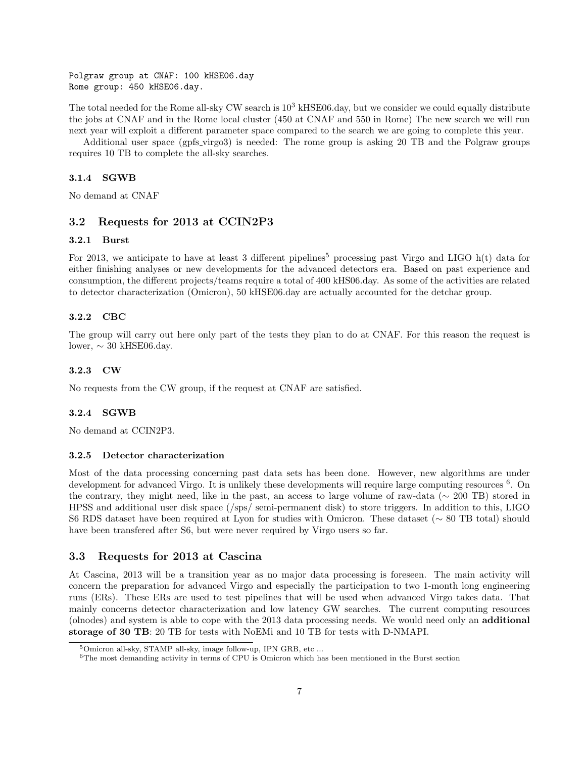Polgraw group at CNAF: 100 kHSE06.day Rome group: 450 kHSE06.day.

The total needed for the Rome all-sky CW search is  $10^3$  kHSE06.day, but we consider we could equally distribute the jobs at CNAF and in the Rome local cluster (450 at CNAF and 550 in Rome) The new search we will run next year will exploit a different parameter space compared to the search we are going to complete this year.

Additional user space (gpfs virgo3) is needed: The rome group is asking 20 TB and the Polgraw groups requires 10 TB to complete the all-sky searches.

#### 3.1.4 SGWB

No demand at CNAF

#### 3.2 Requests for 2013 at CCIN2P3

#### 3.2.1 Burst

For 2013, we anticipate to have at least 3 different pipelines<sup>5</sup> processing past Virgo and LIGO h(t) data for either finishing analyses or new developments for the advanced detectors era. Based on past experience and consumption, the different projects/teams require a total of 400 kHS06.day. As some of the activities are related to detector characterization (Omicron), 50 kHSE06.day are actually accounted for the detchar group.

#### 3.2.2 CBC

The group will carry out here only part of the tests they plan to do at CNAF. For this reason the request is lower,  $\sim$  30 kHSE06.day.

#### 3.2.3 CW

No requests from the CW group, if the request at CNAF are satisfied.

#### 3.2.4 SGWB

No demand at CCIN2P3.

#### 3.2.5 Detector characterization

Most of the data processing concerning past data sets has been done. However, new algorithms are under development for advanced Virgo. It is unlikely these developments will require large computing resources <sup>6</sup>. On the contrary, they might need, like in the past, an access to large volume of raw-data (∼ 200 TB) stored in HPSS and additional user disk space (/sps/ semi-permanent disk) to store triggers. In addition to this, LIGO S6 RDS dataset have been required at Lyon for studies with Omicron. These dataset (∼ 80 TB total) should have been transfered after S6, but were never required by Virgo users so far.

#### 3.3 Requests for 2013 at Cascina

At Cascina, 2013 will be a transition year as no major data processing is foreseen. The main activity will concern the preparation for advanced Virgo and especially the participation to two 1-month long engineering runs (ERs). These ERs are used to test pipelines that will be used when advanced Virgo takes data. That mainly concerns detector characterization and low latency GW searches. The current computing resources (olnodes) and system is able to cope with the 2013 data processing needs. We would need only an additional storage of 30 TB: 20 TB for tests with NoEMi and 10 TB for tests with D-NMAPI.

<sup>5</sup>Omicron all-sky, STAMP all-sky, image follow-up, IPN GRB, etc ...

<sup>6</sup>The most demanding activity in terms of CPU is Omicron which has been mentioned in the Burst section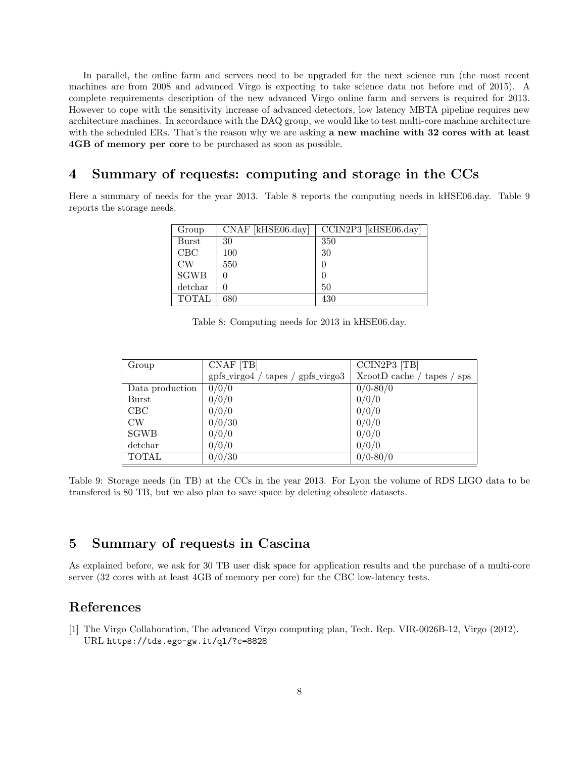In parallel, the online farm and servers need to be upgraded for the next science run (the most recent machines are from 2008 and advanced Virgo is expecting to take science data not before end of 2015). A complete requirements description of the new advanced Virgo online farm and servers is required for 2013. However to cope with the sensitivity increase of advanced detectors, low latency MBTA pipeline requires new architecture machines. In accordance with the DAQ group, we would like to test multi-core machine architecture with the scheduled ERs. That's the reason why we are asking a new machine with 32 cores with at least 4GB of memory per core to be purchased as soon as possible.

## 4 Summary of requests: computing and storage in the CCs

Here a summary of needs for the year 2013. Table 8 reports the computing needs in kHSE06.day. Table 9 reports the storage needs.

| Group        | $\overline{\text{CNAF}}$ [kHSE06.day] | CCIN2P3 [kHSE06.day] |
|--------------|---------------------------------------|----------------------|
| Burst        | 30                                    | 350                  |
| CBC          | 100                                   | 30                   |
| $\rm CW$     | 550                                   |                      |
| SGWB         |                                       | $\left( \right)$     |
| detchar      |                                       | 50                   |
| <b>TOTAL</b> | 680                                   | 430                  |

Table 8: Computing needs for 2013 in kHSE06.day.

| Group           | CNAF [TB]                                        | CCIN2P3 [TB]                        |
|-----------------|--------------------------------------------------|-------------------------------------|
|                 | $_{\rm gpfs\_virgo4}$ /<br>tapes / $gpfs_virgo3$ | XrootD cache<br>tapes<br><b>SpS</b> |
| Data production | 0/0/0                                            | $0/0 - 80/0$                        |
| Burst           | 0/0/0                                            | 0/0/0                               |
| CBC             | 0/0/0                                            | 0/0/0                               |
| <b>CW</b>       | 0/0/30                                           | 0/0/0                               |
| <b>SGWB</b>     | 0/0/0                                            | 0/0/0                               |
| detchar         | 0/0/0                                            | 0/0/0                               |
| <b>TOTAL</b>    | 0/0/30                                           | $0/0-80/0$                          |

Table 9: Storage needs (in TB) at the CCs in the year 2013. For Lyon the volume of RDS LIGO data to be transfered is 80 TB, but we also plan to save space by deleting obsolete datasets.

## 5 Summary of requests in Cascina

As explained before, we ask for 30 TB user disk space for application results and the purchase of a multi-core server (32 cores with at least 4GB of memory per core) for the CBC low-latency tests.

## References

[1] The Virgo Collaboration, The advanced Virgo computing plan, Tech. Rep. VIR-0026B-12, Virgo (2012). URL https://tds.ego-gw.it/ql/?c=8828